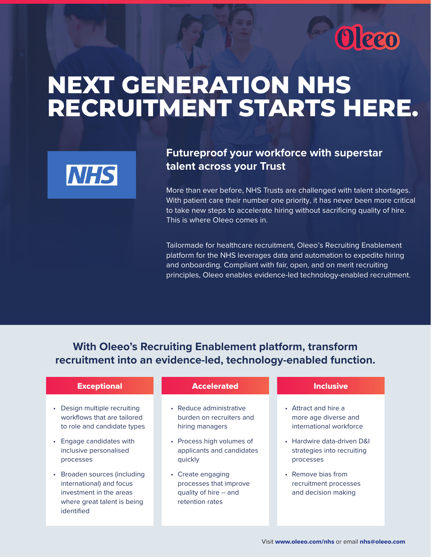

# **NEXT GENERATION NHS RECRUITMENT STARTS HERE.**



## **Futureproof your workforce with superstar talent across your Trust**

More than ever before, NHS Trusts are challenged with talent shortages. With patient care their number one priority, it has never been more critical to take new steps to accelerate hiring without sacrificing quality of hire. This is where Oleeo comes in.

Tailormade for healthcare recruitment, Oleeo's Recruiting Enablement platform for the NHS leverages data and automation to expedite hiring and onboarding. Compliant with fair, open, and on merit recruiting principles, Oleeo enables evidence-led technology-enabled recruitment.

**With Oleeo's Recruiting Enablement platform, transform recruitment into an evidence-led, technology-enabled function.**

#### **Exceptional**

- Design multiple recruiting workflows that are tailored to role and candidate types
- Engage candidates with inclusive personalised processes
- Broaden sources (including international) and focus investment in the areas where great talent is being identified

#### Accelerated **Inclusive**

- Reduce administrative burden on recruiters and hiring managers
- Process high volumes of applicants and candidates quickly
- Create engaging processes that improve quality of hire -- and retention rates

- Attract and hire a more age diverse and international workforce
- Hardwire data-driven D&I strategies into recruiting processes
- Remove bias from recruitment processes and decision making